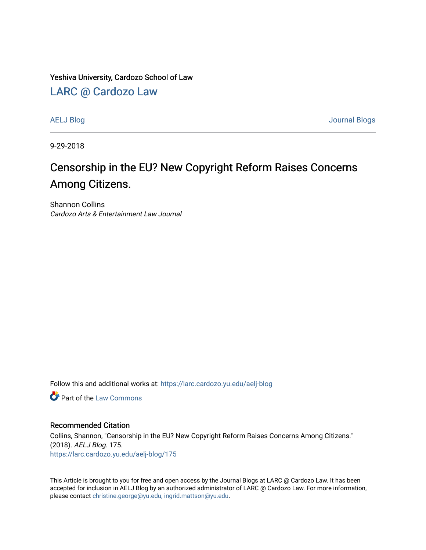Yeshiva University, Cardozo School of Law

[LARC @ Cardozo Law](https://larc.cardozo.yu.edu/)

[AELJ Blog](https://larc.cardozo.yu.edu/aelj-blog) [Journal Blogs](https://larc.cardozo.yu.edu/journal-blogs) 

9-29-2018

## Censorship in the EU? New Copyright Reform Raises Concerns Among Citizens.

Shannon Collins Cardozo Arts & Entertainment Law Journal

Follow this and additional works at: [https://larc.cardozo.yu.edu/aelj-blog](https://larc.cardozo.yu.edu/aelj-blog?utm_source=larc.cardozo.yu.edu%2Faelj-blog%2F175&utm_medium=PDF&utm_campaign=PDFCoverPages) 

**C** Part of the [Law Commons](http://network.bepress.com/hgg/discipline/578?utm_source=larc.cardozo.yu.edu%2Faelj-blog%2F175&utm_medium=PDF&utm_campaign=PDFCoverPages)

## Recommended Citation

Collins, Shannon, "Censorship in the EU? New Copyright Reform Raises Concerns Among Citizens." (2018). AELJ Blog. 175. [https://larc.cardozo.yu.edu/aelj-blog/175](https://larc.cardozo.yu.edu/aelj-blog/175?utm_source=larc.cardozo.yu.edu%2Faelj-blog%2F175&utm_medium=PDF&utm_campaign=PDFCoverPages) 

This Article is brought to you for free and open access by the Journal Blogs at LARC @ Cardozo Law. It has been accepted for inclusion in AELJ Blog by an authorized administrator of LARC @ Cardozo Law. For more information, please contact [christine.george@yu.edu, ingrid.mattson@yu.edu.](mailto:christine.george@yu.edu,%20ingrid.mattson@yu.edu)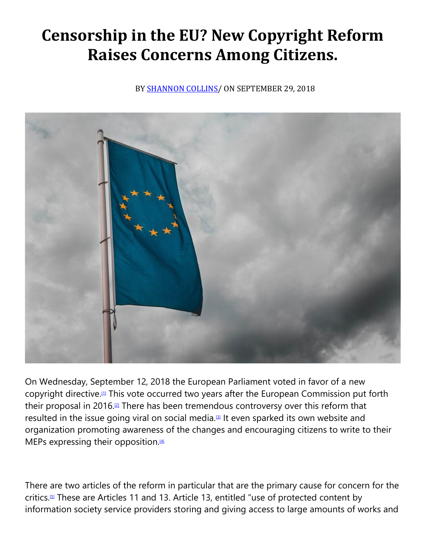## **Censorship in the EU? New Copyright Reform Raises Concerns Among Citizens.**

BY **SHANNON COLLINS**/ ON SEPTEMBER 29, 2018



On Wednesday, September 12, 2018 the European Parliament voted in favor of a new copyright directive.[\[1\]](https://cardozoaelj.com/2018/09/29/censorship-eu-new-copyright-reform-raises-concerns-among-citizens/#_ftn1) This vote occurred two years after the European Commission put forth their proposal in 2016.<sup>[\[2\]](https://cardozoaelj.com/2018/09/29/censorship-eu-new-copyright-reform-raises-concerns-among-citizens/#_ftn2)</sup> There has been tremendous controversy over this reform that resulted in the issue going viral on social media.<sup>[\[3\]](https://cardozoaelj.com/2018/09/29/censorship-eu-new-copyright-reform-raises-concerns-among-citizens/#_ftn3)</sup> It even sparked its own website and organization promoting awareness of the changes and encouraging citizens to write to their MEPs expressing their opposition.<sup>[\[4\]](https://cardozoaelj.com/2018/09/29/censorship-eu-new-copyright-reform-raises-concerns-among-citizens/#_ftn4)</sup>

There are two articles of the reform in particular that are the primary cause for concern for the critics.[\[5\]](https://cardozoaelj.com/2018/09/29/censorship-eu-new-copyright-reform-raises-concerns-among-citizens/#_ftn5) These are Articles 11 and 13. Article 13, entitled "use of protected content by information society service providers storing and giving access to large amounts of works and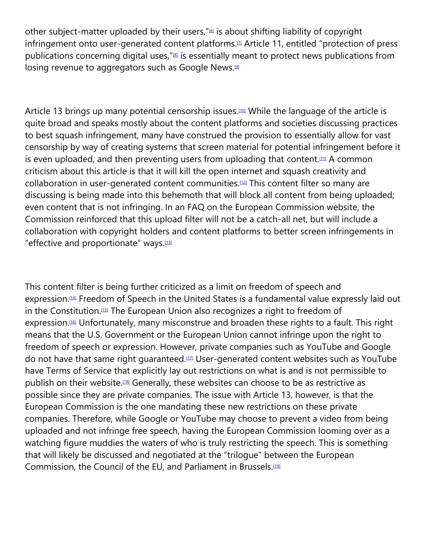other subject-matter uploaded by their users,"<sup>6</sup> is about shifting liability of copyright infringement onto user-generated content platforms.<sup>[\[7\]](https://cardozoaelj.com/2018/09/29/censorship-eu-new-copyright-reform-raises-concerns-among-citizens/#_ftn7)</sup> Article 11, entitled "protection of press publications concerning digital uses,  $\frac{1}{18}$  is essentially meant to protect news publications from losing revenue to aggregators such as Google News.<sup>[\[9\]](https://cardozoaelj.com/2018/09/29/censorship-eu-new-copyright-reform-raises-concerns-among-citizens/#_ftn9)</sup>

Article 13 brings up many potential censorship issues.<sup>100</sup> While the language of the article is quite broad and speaks mostly about the content platforms and societies discussing practices to best squash infringement, many have construed the provision to essentially allow for vast censorship by way of creating systems that screen material for potential infringement before it is even uploaded, and then preventing users from uploading that content.<sup>[\[11\]](https://cardozoaelj.com/2018/09/29/censorship-eu-new-copyright-reform-raises-concerns-among-citizens/#_ftn11)</sup> A common criticism about this article is that it will kill the open internet and squash creativity and collaboration in user-generated content communities.[\[12\]](https://cardozoaelj.com/2018/09/29/censorship-eu-new-copyright-reform-raises-concerns-among-citizens/#_ftn12) This content filter so many are discussing is being made into this behemoth that will block all content from being uploaded; even content that is not infringing. In an FAQ on the European Commission website, the Commission reinforced that this upload filter will not be a catch-all net, but will include a collaboration with copyright holders and content platforms to better screen infringements in "effective and proportionate" ways.<sup>[\[13\]](https://cardozoaelj.com/2018/09/29/censorship-eu-new-copyright-reform-raises-concerns-among-citizens/#_ftn13)</sup>

This content filter is being further criticized as a limit on freedom of speech and expression.<sup>[\[14\]](https://cardozoaelj.com/2018/09/29/censorship-eu-new-copyright-reform-raises-concerns-among-citizens/#_ftn14)</sup> Freedom of Speech in the United States is a fundamental value expressly laid out in the Constitution.[\[15\]](https://cardozoaelj.com/2018/09/29/censorship-eu-new-copyright-reform-raises-concerns-among-citizens/#_ftn15) The European Union also recognizes a right to freedom of expression.<sup>[\[16\]](https://cardozoaelj.com/2018/09/29/censorship-eu-new-copyright-reform-raises-concerns-among-citizens/#_ftn16)</sup> Unfortunately, many misconstrue and broaden these rights to a fault. This right means that the U.S. Government or the European Union cannot infringe upon the right to freedom of speech or expression. However, private companies such as YouTube and Google do not have that same right guaranteed.<sup>[\[17\]](https://cardozoaelj.com/2018/09/29/censorship-eu-new-copyright-reform-raises-concerns-among-citizens/#_ftn17)</sup> User-generated content websites such as YouTube have Terms of Service that explicitly lay out restrictions on what is and is not permissible to publish on their website.<sup>[\[18\]](https://cardozoaelj.com/2018/09/29/censorship-eu-new-copyright-reform-raises-concerns-among-citizens/#_ftn18)</sup> Generally, these websites can choose to be as restrictive as possible since they are private companies. The issue with Article 13, however, is that the European Commission is the one mandating these new restrictions on these private companies. Therefore, while Google or YouTube may choose to prevent a video from being uploaded and not infringe free speech, having the European Commission looming over as a watching figure muddies the waters of who is truly restricting the speech. This is something that will likely be discussed and negotiated at the "trilogue" between the European Commission, the Council of the EU, and Parliament in Brussels.<sup>[\[19\]](https://cardozoaelj.com/2018/09/29/censorship-eu-new-copyright-reform-raises-concerns-among-citizens/#_ftn19)</sup>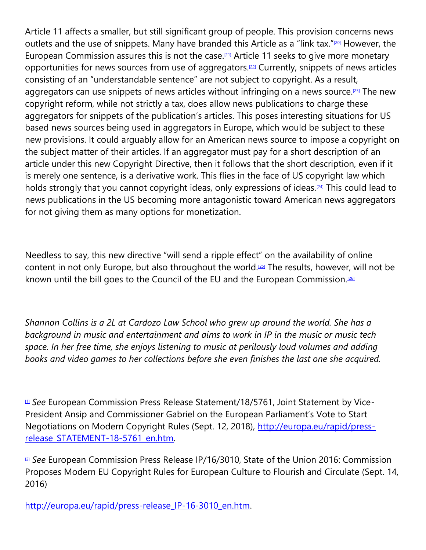Article 11 affects a smaller, but still significant group of people. This provision concerns news outlets and the use of snippets. Many have branded this Article as a "link tax."<sup>120</sup> However, the European Commission assures this is not the case.<sup>[\[21\]](https://cardozoaelj.com/2018/09/29/censorship-eu-new-copyright-reform-raises-concerns-among-citizens/#_ftn21)</sup> Article 11 seeks to give more monetary opportunities for news sources from use of aggregators.[\[22\]](https://cardozoaelj.com/2018/09/29/censorship-eu-new-copyright-reform-raises-concerns-among-citizens/#_ftn22) Currently, snippets of news articles consisting of an "understandable sentence" are not subject to copyright. As a result, aggregators can use snippets of news articles without infringing on a news source.<sup>[\[23\]](https://cardozoaelj.com/2018/09/29/censorship-eu-new-copyright-reform-raises-concerns-among-citizens/#_ftn23)</sup> The new copyright reform, while not strictly a tax, does allow news publications to charge these aggregators for snippets of the publication's articles. This poses interesting situations for US based news sources being used in aggregators in Europe, which would be subject to these new provisions. It could arguably allow for an American news source to impose a copyright on the subject matter of their articles. If an aggregator must pay for a short description of an article under this new Copyright Directive, then it follows that the short description, even if it is merely one sentence, is a derivative work. This flies in the face of US copyright law which holds strongly that you cannot copyright ideas, only expressions of ideas.<sup>[\[24\]](https://cardozoaelj.com/2018/09/29/censorship-eu-new-copyright-reform-raises-concerns-among-citizens/#_ftn24)</sup> This could lead to news publications in the US becoming more antagonistic toward American news aggregators for not giving them as many options for monetization.

Needless to say, this new directive "will send a ripple effect" on the availability of online content in not only Europe, but also throughout the world.[\[25\]](https://cardozoaelj.com/2018/09/29/censorship-eu-new-copyright-reform-raises-concerns-among-citizens/#_ftn25) The results, however, will not be known until the bill goes to the Council of the EU and the European Commission.<sup>[\[26\]](https://cardozoaelj.com/2018/09/29/censorship-eu-new-copyright-reform-raises-concerns-among-citizens/#_ftn26)</sup>

*Shannon Collins is a 2L at Cardozo Law School who grew up around the world. She has a background in music and entertainment and aims to work in IP in the music or music tech space. In her free time, she enjoys listening to music at perilously loud volumes and adding books and video games to her collections before she even finishes the last one she acquired.*

[\[1\]](https://cardozoaelj.com/2018/09/29/censorship-eu-new-copyright-reform-raises-concerns-among-citizens/#_ftnref1) *See* European Commission Press Release Statement/18/5761, Joint Statement by Vice-President Ansip and Commissioner Gabriel on the European Parliament's Vote to Start Negotiations on Modern Copyright Rules (Sept. 12, 2018), [http://europa.eu/rapid/press](http://europa.eu/rapid/press-release_STATEMENT-18-5761_en.htm)[release\\_STATEMENT-18-5761\\_en.htm.](http://europa.eu/rapid/press-release_STATEMENT-18-5761_en.htm)

<sup>2</sup> *See* European Commission Press Release IP/16/3010, State of the Union 2016: Commission Proposes Modern EU Copyright Rules for European Culture to Flourish and Circulate (Sept. 14, 2016)

[http://europa.eu/rapid/press-release\\_IP-16-3010\\_en.htm.](http://europa.eu/rapid/press-release_IP-16-3010_en.htm)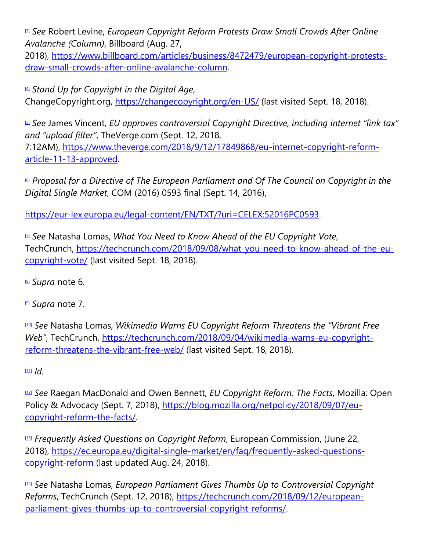[\[3\]](https://cardozoaelj.com/2018/09/29/censorship-eu-new-copyright-reform-raises-concerns-among-citizens/#_ftnref3) *See* Robert Levine, *European Copyright Reform Protests Draw Small Crowds After Online Avalanche (Column)*, Billboard (Aug. 27,

2018), [https://www.billboard.com/articles/business/8472479/european-copyright-protests](https://www.billboard.com/articles/business/8472479/european-copyright-protests-draw-small-crowds-after-online-avalanche-column)[draw-small-crowds-after-online-avalanche-column.](https://www.billboard.com/articles/business/8472479/european-copyright-protests-draw-small-crowds-after-online-avalanche-column)

[\[4\]](https://cardozoaelj.com/2018/09/29/censorship-eu-new-copyright-reform-raises-concerns-among-citizens/#_ftnref4) *Stand Up for Copyright in the Digital Age*, ChangeCopyright.org, <https://changecopyright.org/en-US/> (last visited Sept. 18, 2018).

[\[5\]](https://cardozoaelj.com/2018/09/29/censorship-eu-new-copyright-reform-raises-concerns-among-citizens/#_ftnref5) *See* James Vincent, *EU approves controversial Copyright Directive, including internet "link tax" and "upload filter"*, TheVerge.com (Sept. 12, 2018, 7:12AM), [https://www.theverge.com/2018/9/12/17849868/eu-internet-copyright-reform](https://www.theverge.com/2018/9/12/17849868/eu-internet-copyright-reform-article-11-13-approved)[article-11-13-approved.](https://www.theverge.com/2018/9/12/17849868/eu-internet-copyright-reform-article-11-13-approved)

[\[6\]](https://cardozoaelj.com/2018/09/29/censorship-eu-new-copyright-reform-raises-concerns-among-citizens/#_ftnref6) *Proposal for a Directive of The European Parliament and Of The Council on Copyright in the Digital Single Market*, COM (2016) 0593 final (Sept. 14, 2016),

[https://eur-lex.europa.eu/legal-content/EN/TXT/?uri=CELEX:52016PC0593.](https://eur-lex.europa.eu/legal-content/EN/TXT/?uri=CELEX:52016PC0593)

[\[7\]](https://cardozoaelj.com/2018/09/29/censorship-eu-new-copyright-reform-raises-concerns-among-citizens/#_ftnref7) *See* Natasha Lomas, *What You Need to Know Ahead of the EU Copyright Vote*, TechCrunch, [https://techcrunch.com/2018/09/08/what-you-need-to-know-ahead-of-the-eu](https://techcrunch.com/2018/09/08/what-you-need-to-know-ahead-of-the-eu-copyright-vote/)[copyright-vote/](https://techcrunch.com/2018/09/08/what-you-need-to-know-ahead-of-the-eu-copyright-vote/) (last visited Sept. 18, 2018).

[\[8\]](https://cardozoaelj.com/2018/09/29/censorship-eu-new-copyright-reform-raises-concerns-among-citizens/#_ftnref8) *Supra* note 6.

[\[9\]](https://cardozoaelj.com/2018/09/29/censorship-eu-new-copyright-reform-raises-concerns-among-citizens/#_ftnref9) *Supra* note 7.

[\[10\]](https://cardozoaelj.com/2018/09/29/censorship-eu-new-copyright-reform-raises-concerns-among-citizens/#_ftnref10) *See* Natasha Lomas, *Wikimedia Warns EU Copyright Reform Threatens the "Vibrant Free Web"*, TechCrunch, [https://techcrunch.com/2018/09/04/wikimedia-warns-eu-copyright](https://techcrunch.com/2018/09/04/wikimedia-warns-eu-copyright-reform-threatens-the-vibrant-free-web/)[reform-threatens-the-vibrant-free-web/](https://techcrunch.com/2018/09/04/wikimedia-warns-eu-copyright-reform-threatens-the-vibrant-free-web/) (last visited Sept. 18, 2018).

[\[11\]](https://cardozoaelj.com/2018/09/29/censorship-eu-new-copyright-reform-raises-concerns-among-citizens/#_ftnref11) *Id.*

[\[12\]](https://cardozoaelj.com/2018/09/29/censorship-eu-new-copyright-reform-raises-concerns-among-citizens/#_ftnref12) *See* Raegan MacDonald and Owen Bennett, *EU Copyright Reform: The Facts*, Mozilla: Open Policy & Advocacy (Sept. 7, 2018), [https://blog.mozilla.org/netpolicy/2018/09/07/eu](https://blog.mozilla.org/netpolicy/2018/09/07/eu-copyright-reform-the-facts/)[copyright-reform-the-facts/.](https://blog.mozilla.org/netpolicy/2018/09/07/eu-copyright-reform-the-facts/)

[\[13\]](https://cardozoaelj.com/2018/09/29/censorship-eu-new-copyright-reform-raises-concerns-among-citizens/#_ftnref13) *Frequently Asked Questions on Copyright Reform*, European Commission, (June 22, 2018), [https://ec.europa.eu/digital-single-market/en/faq/frequently-asked-questions](https://ec.europa.eu/digital-single-market/en/faq/frequently-asked-questions-copyright-reform)[copyright-reform](https://ec.europa.eu/digital-single-market/en/faq/frequently-asked-questions-copyright-reform) (last updated Aug. 24, 2018).

[\[14\]](https://cardozoaelj.com/2018/09/29/censorship-eu-new-copyright-reform-raises-concerns-among-citizens/#_ftnref14) *See* Natasha Lomas, *European Parliament Gives Thumbs Up to Controversial Copyright Reforms*, TechCrunch (Sept. 12, 2018), [https://techcrunch.com/2018/09/12/european](https://techcrunch.com/2018/09/12/european-parliament-gives-thumbs-up-to-controversial-copyright-reforms/)[parliament-gives-thumbs-up-to-controversial-copyright-reforms/.](https://techcrunch.com/2018/09/12/european-parliament-gives-thumbs-up-to-controversial-copyright-reforms/)